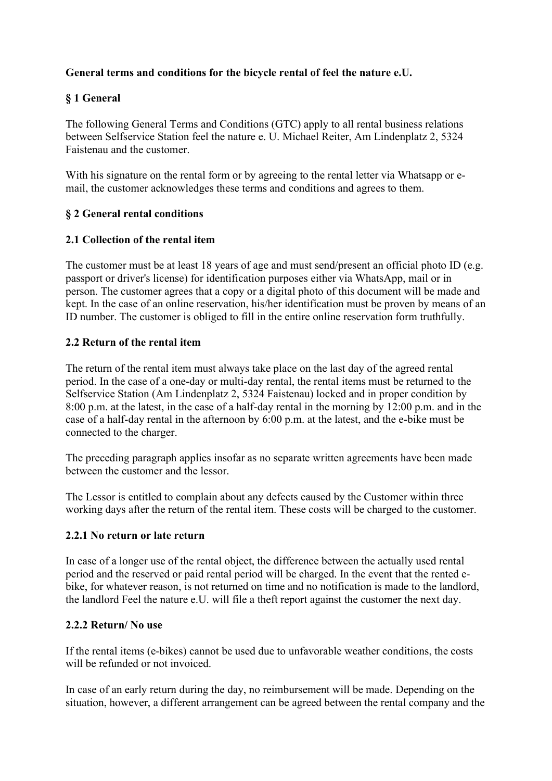## General terms and conditions for the bicycle rental of feel the nature e.U.

# § 1 General

The following General Terms and Conditions (GTC) apply to all rental business relations between Selfservice Station feel the nature e. U. Michael Reiter, Am Lindenplatz 2, 5324 Faistenau and the customer.

With his signature on the rental form or by agreeing to the rental letter via Whatsapp or email, the customer acknowledges these terms and conditions and agrees to them.

### § 2 General rental conditions

#### 2.1 Collection of the rental item

The customer must be at least 18 years of age and must send/present an official photo ID (e.g. passport or driver's license) for identification purposes either via WhatsApp, mail or in person. The customer agrees that a copy or a digital photo of this document will be made and kept. In the case of an online reservation, his/her identification must be proven by means of an ID number. The customer is obliged to fill in the entire online reservation form truthfully.

#### 2.2 Return of the rental item

The return of the rental item must always take place on the last day of the agreed rental period. In the case of a one-day or multi-day rental, the rental items must be returned to the Selfservice Station (Am Lindenplatz 2, 5324 Faistenau) locked and in proper condition by 8:00 p.m. at the latest, in the case of a half-day rental in the morning by 12:00 p.m. and in the case of a half-day rental in the afternoon by 6:00 p.m. at the latest, and the e-bike must be connected to the charger.

The preceding paragraph applies insofar as no separate written agreements have been made between the customer and the lessor.

The Lessor is entitled to complain about any defects caused by the Customer within three working days after the return of the rental item. These costs will be charged to the customer.

#### 2.2.1 No return or late return

In case of a longer use of the rental object, the difference between the actually used rental period and the reserved or paid rental period will be charged. In the event that the rented ebike, for whatever reason, is not returned on time and no notification is made to the landlord, the landlord Feel the nature e.U. will file a theft report against the customer the next day.

#### 2.2.2 Return/ No use

If the rental items (e-bikes) cannot be used due to unfavorable weather conditions, the costs will be refunded or not invoiced.

In case of an early return during the day, no reimbursement will be made. Depending on the situation, however, a different arrangement can be agreed between the rental company and the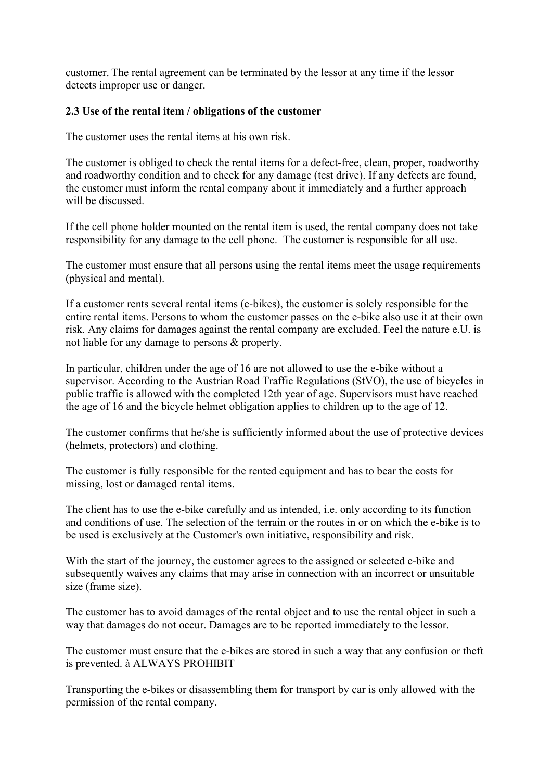customer. The rental agreement can be terminated by the lessor at any time if the lessor detects improper use or danger.

#### 2.3 Use of the rental item / obligations of the customer

The customer uses the rental items at his own risk.

The customer is obliged to check the rental items for a defect-free, clean, proper, roadworthy and roadworthy condition and to check for any damage (test drive). If any defects are found, the customer must inform the rental company about it immediately and a further approach will be discussed.

If the cell phone holder mounted on the rental item is used, the rental company does not take responsibility for any damage to the cell phone. The customer is responsible for all use.

The customer must ensure that all persons using the rental items meet the usage requirements (physical and mental).

If a customer rents several rental items (e-bikes), the customer is solely responsible for the entire rental items. Persons to whom the customer passes on the e-bike also use it at their own risk. Any claims for damages against the rental company are excluded. Feel the nature e.U. is not liable for any damage to persons & property.

In particular, children under the age of 16 are not allowed to use the e-bike without a supervisor. According to the Austrian Road Traffic Regulations (StVO), the use of bicycles in public traffic is allowed with the completed 12th year of age. Supervisors must have reached the age of 16 and the bicycle helmet obligation applies to children up to the age of 12.

The customer confirms that he/she is sufficiently informed about the use of protective devices (helmets, protectors) and clothing.

The customer is fully responsible for the rented equipment and has to bear the costs for missing, lost or damaged rental items.

The client has to use the e-bike carefully and as intended, i.e. only according to its function and conditions of use. The selection of the terrain or the routes in or on which the e-bike is to be used is exclusively at the Customer's own initiative, responsibility and risk.

With the start of the journey, the customer agrees to the assigned or selected e-bike and subsequently waives any claims that may arise in connection with an incorrect or unsuitable size (frame size).

The customer has to avoid damages of the rental object and to use the rental object in such a way that damages do not occur. Damages are to be reported immediately to the lessor.

The customer must ensure that the e-bikes are stored in such a way that any confusion or theft is prevented. à ALWAYS PROHIBIT

Transporting the e-bikes or disassembling them for transport by car is only allowed with the permission of the rental company.